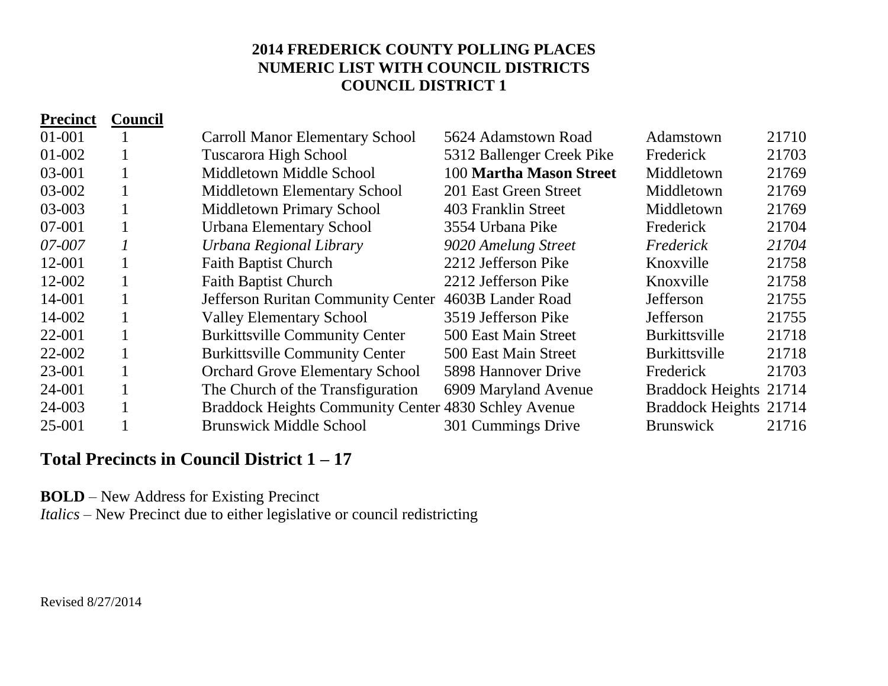| <b>Precinct</b> | <b>Council</b> |                                                      |                           |                        |       |
|-----------------|----------------|------------------------------------------------------|---------------------------|------------------------|-------|
| 01-001          |                | <b>Carroll Manor Elementary School</b>               | 5624 Adamstown Road       | Adamstown              | 21710 |
| $01 - 002$      | 1              | <b>Tuscarora High School</b>                         | 5312 Ballenger Creek Pike | Frederick              | 21703 |
| 03-001          | $\mathbf{1}$   | Middletown Middle School                             | 100 Martha Mason Street   | Middletown             | 21769 |
| 03-002          | $\mathbf{1}$   | <b>Middletown Elementary School</b>                  | 201 East Green Street     | Middletown             | 21769 |
| 03-003          | $\mathbf{1}$   | <b>Middletown Primary School</b>                     | 403 Franklin Street       | Middletown             | 21769 |
| 07-001          | $\mathbf{1}$   | Urbana Elementary School                             | 3554 Urbana Pike          | Frederick              | 21704 |
| 07-007          | 1              | Urbana Regional Library                              | 9020 Amelung Street       | Frederick              | 21704 |
| 12-001          | 1              | <b>Faith Baptist Church</b>                          | 2212 Jefferson Pike       | Knoxville              | 21758 |
| 12-002          | $\bf{l}$       | <b>Faith Baptist Church</b>                          | 2212 Jefferson Pike       | Knoxville              | 21758 |
| 14-001          | 1              | <b>Jefferson Ruritan Community Center</b>            | 4603B Lander Road         | Jefferson              | 21755 |
| 14-002          | $\mathbf{I}$   | <b>Valley Elementary School</b>                      | 3519 Jefferson Pike       | Jefferson              | 21755 |
| 22-001          | 1              | <b>Burkittsville Community Center</b>                | 500 East Main Street      | <b>Burkittsville</b>   | 21718 |
| 22-002          | $\mathbf{1}$   | <b>Burkittsville Community Center</b>                | 500 East Main Street      | <b>Burkittsville</b>   | 21718 |
| 23-001          |                | <b>Orchard Grove Elementary School</b>               | 5898 Hannover Drive       | Frederick              | 21703 |
| 24-001          |                | The Church of the Transfiguration                    | 6909 Maryland Avenue      | Braddock Heights 21714 |       |
| 24-003          |                | Braddock Heights Community Center 4830 Schley Avenue |                           | Braddock Heights 21714 |       |
| 25-001          |                | <b>Brunswick Middle School</b>                       | 301 Cummings Drive        | <b>Brunswick</b>       | 21716 |

# **Total Precincts in Council District 1 – 17**

**BOLD** – New Address for Existing Precinct

*Italics* – New Precinct due to either legislative or council redistricting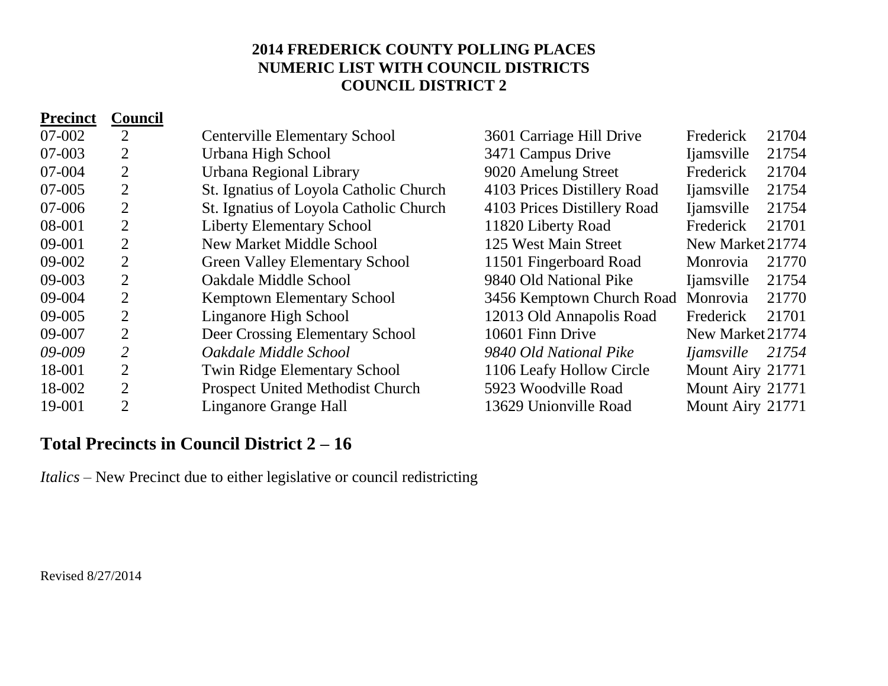| <b>Precinct</b> | <b>Council</b> |                                        |                             |                    |       |
|-----------------|----------------|----------------------------------------|-----------------------------|--------------------|-------|
| 07-002          | $\overline{2}$ | <b>Centerville Elementary School</b>   | 3601 Carriage Hill Drive    | Frederick          | 21704 |
| 07-003          | $\overline{2}$ | Urbana High School                     | 3471 Campus Drive           | <i>liamsville</i>  | 21754 |
| 07-004          | $\overline{2}$ | Urbana Regional Library                | 9020 Amelung Street         | Frederick          | 21704 |
| 07-005          | $\overline{2}$ | St. Ignatius of Loyola Catholic Church | 4103 Prices Distillery Road | <i>liamsville</i>  | 21754 |
| 07-006          | 2              | St. Ignatius of Loyola Catholic Church | 4103 Prices Distillery Road | <i>liamsville</i>  | 21754 |
| 08-001          | $\overline{2}$ | <b>Liberty Elementary School</b>       | 11820 Liberty Road          | Frederick          | 21701 |
| 09-001          | $\overline{2}$ | <b>New Market Middle School</b>        | 125 West Main Street        | New Market 21774   |       |
| 09-002          | $\overline{2}$ | <b>Green Valley Elementary School</b>  | 11501 Fingerboard Road      | Monrovia           | 21770 |
| 09-003          | $\overline{2}$ | <b>Oakdale Middle School</b>           | 9840 Old National Pike      | <i>l</i> iamsville | 21754 |
| 09-004          | $\overline{2}$ | Kemptown Elementary School             | 3456 Kemptown Church Road   | Monrovia           | 21770 |
| 09-005          | $\overline{2}$ | Linganore High School                  | 12013 Old Annapolis Road    | Frederick          | 21701 |
| 09-007          | $\overline{2}$ | Deer Crossing Elementary School        | 10601 Finn Drive            | New Market 21774   |       |
| 09-009          | $\overline{2}$ | Oakdale Middle School                  | 9840 Old National Pike      | <i>Ijamsville</i>  | 21754 |
| 18-001          | $\overline{2}$ | <b>Twin Ridge Elementary School</b>    | 1106 Leafy Hollow Circle    | Mount Airy 21771   |       |
| 18-002          | $\overline{2}$ | Prospect United Methodist Church       | 5923 Woodville Road         | Mount Airy 21771   |       |
| 19-001          | $\overline{2}$ | Linganore Grange Hall                  | 13629 Unionville Road       | Mount Airy 21771   |       |

## **Total Precincts in Council District 2 – 16**

*Italics* – New Precinct due to either legislative or council redistricting

Revised 8/27/2014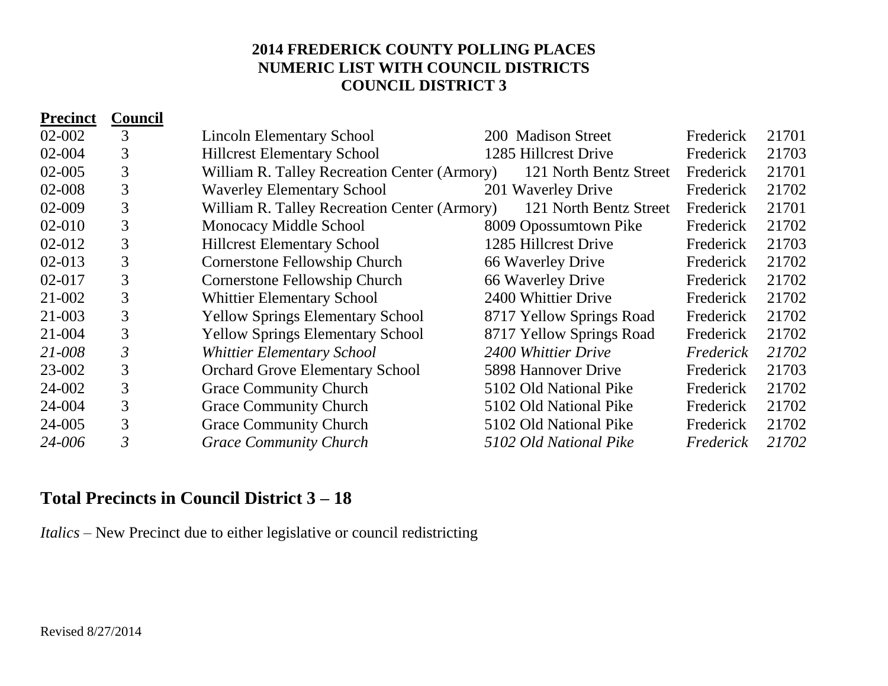| <b>Precinct</b> | Council        |                                              |                          |           |       |
|-----------------|----------------|----------------------------------------------|--------------------------|-----------|-------|
| 02-002          | 3              | <b>Lincoln Elementary School</b>             | 200 Madison Street       | Frederick | 21701 |
| 02-004          | 3              | <b>Hillcrest Elementary School</b>           | 1285 Hillcrest Drive     | Frederick | 21703 |
| 02-005          | 3              | William R. Talley Recreation Center (Armory) | 121 North Bentz Street   | Frederick | 21701 |
| 02-008          | 3              | <b>Waverley Elementary School</b>            | 201 Waverley Drive       | Frederick | 21702 |
| 02-009          | 3              | William R. Talley Recreation Center (Armory) | 121 North Bentz Street   | Frederick | 21701 |
| 02-010          | 3              | Monocacy Middle School                       | 8009 Opossumtown Pike    | Frederick | 21702 |
| 02-012          | 3              | <b>Hillcrest Elementary School</b>           | 1285 Hillcrest Drive     | Frederick | 21703 |
| 02-013          | 3              | <b>Cornerstone Fellowship Church</b>         | 66 Waverley Drive        | Frederick | 21702 |
| 02-017          | 3              | <b>Cornerstone Fellowship Church</b>         | 66 Waverley Drive        | Frederick | 21702 |
| 21-002          | 3              | <b>Whittier Elementary School</b>            | 2400 Whittier Drive      | Frederick | 21702 |
| 21-003          | 3              | <b>Yellow Springs Elementary School</b>      | 8717 Yellow Springs Road | Frederick | 21702 |
| 21-004          | 3              | <b>Yellow Springs Elementary School</b>      | 8717 Yellow Springs Road | Frederick | 21702 |
| 21-008          | 3              | <b>Whittier Elementary School</b>            | 2400 Whittier Drive      | Frederick | 21702 |
| 23-002          | 3              | <b>Orchard Grove Elementary School</b>       | 5898 Hannover Drive      | Frederick | 21703 |
| 24-002          | 3              | <b>Grace Community Church</b>                | 5102 Old National Pike   | Frederick | 21702 |
| 24-004          | 3              | <b>Grace Community Church</b>                | 5102 Old National Pike   | Frederick | 21702 |
| 24-005          | 3              | <b>Grace Community Church</b>                | 5102 Old National Pike   | Frederick | 21702 |
| 24-006          | $\mathfrak{Z}$ | <b>Grace Community Church</b>                | 5102 Old National Pike   | Frederick | 21702 |

### **Total Precincts in Council District 3 – 18**

*Italics* – New Precinct due to either legislative or council redistricting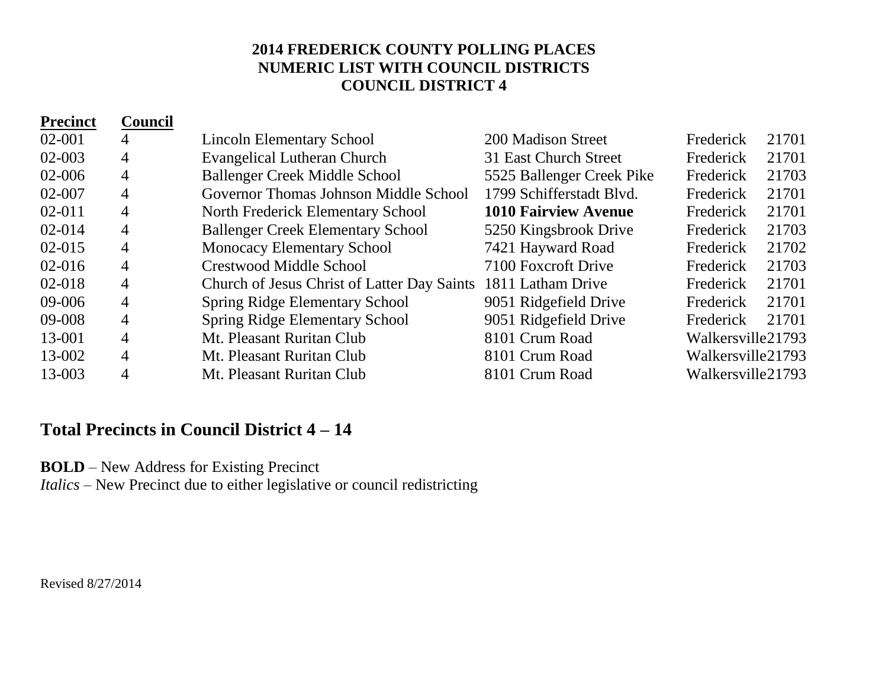| <b>Precinct</b> | <b>Council</b> |                                                               |                             |                   |       |
|-----------------|----------------|---------------------------------------------------------------|-----------------------------|-------------------|-------|
| $02 - 001$      | 4              | <b>Lincoln Elementary School</b>                              | 200 Madison Street          | Frederick         | 21701 |
| 02-003          | 4              | <b>Evangelical Lutheran Church</b>                            | 31 East Church Street       | Frederick         | 21701 |
| 02-006          | $\overline{4}$ | <b>Ballenger Creek Middle School</b>                          | 5525 Ballenger Creek Pike   | Frederick         | 21703 |
| 02-007          | 4              | Governor Thomas Johnson Middle School                         | 1799 Schifferstadt Blvd.    | Frederick         | 21701 |
| $02 - 011$      | $\overline{4}$ | North Frederick Elementary School                             | <b>1010 Fairview Avenue</b> | Frederick         | 21701 |
| $02 - 014$      | 4              | <b>Ballenger Creek Elementary School</b>                      | 5250 Kingsbrook Drive       | Frederick         | 21703 |
| $02 - 015$      | $\overline{4}$ | <b>Monocacy Elementary School</b>                             | 7421 Hayward Road           | Frederick         | 21702 |
| $02 - 016$      | $\overline{4}$ | <b>Crestwood Middle School</b>                                | 7100 Foxcroft Drive         | Frederick         | 21703 |
| 02-018          | 4              | Church of Jesus Christ of Latter Day Saints 1811 Latham Drive |                             | Frederick         | 21701 |
| 09-006          | $\overline{4}$ | <b>Spring Ridge Elementary School</b>                         | 9051 Ridgefield Drive       | Frederick         | 21701 |
| 09-008          | 4              | <b>Spring Ridge Elementary School</b>                         | 9051 Ridgefield Drive       | Frederick         | 21701 |
| 13-001          | 4              | Mt. Pleasant Ruritan Club                                     | 8101 Crum Road              | Walkersville21793 |       |
| 13-002          | $\overline{4}$ | Mt. Pleasant Ruritan Club                                     | 8101 Crum Road              | Walkersville21793 |       |
| 13-003          | 4              | Mt. Pleasant Ruritan Club                                     | 8101 Crum Road              | Walkersville21793 |       |

### **Total Precincts in Council District 4 – 14**

**BOLD** – New Address for Existing Precinct

*Italics* – New Precinct due to either legislative or council redistricting

Revised 8/27/2014